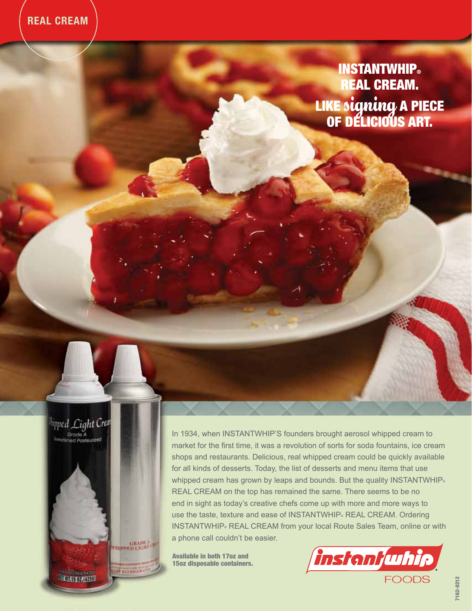INSTANTWHIP**®**  EAL CREAM. LIKE signing A P of Délicious Art.

pped Light Crea Grode A / Pristeurized GRADEA<br>VHIPPED LIGHT OF **STAT MAY RECEIVED ELECTROPATED** 

In 1934, when INSTANTWHIP'S founders brought aerosol whipped cream to market for the first time, it was a revolution of sorts for soda fountains, ice cream shops and restaurants. Delicious, real whipped cream could be quickly available for all kinds of desserts. Today, the list of desserts and menu items that use whipped cream has grown by leaps and bounds. But the quality INSTANTWHIP® REAL CREAM on the top has remained the same. There seems to be no end in sight as today's creative chefs come up with more and more ways to use the taste, texture and ease of INSTANTWHIP® REAL CREAM. Ordering INSTANTWHIP® REAL CREAM from your local Route Sales Team, online or with a phone call couldn't be easier.

Available in both 17oz and 15oz disposable containers.